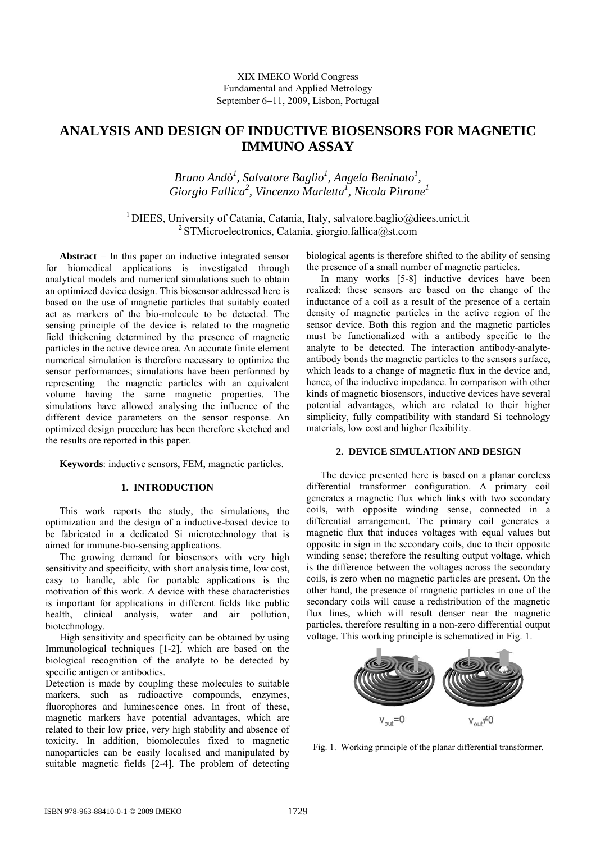# **ANALYSIS AND DESIGN OF INDUCTIVE BIOSENSORS FOR MAGNETIC IMMUNO ASSAY**

Bruno Andò<sup>1</sup>, Salvatore Baglio<sup>1</sup>, Angela Beninato<sup>1</sup>,  *Giorgio Fallica<sup>2</sup> , Vincenzo Marletta1 , Nicola Pitrone1*

<sup>1</sup> DIEES, University of Catania, Catania, Italy, salvatore.baglio@diees.unict.it <sup>2</sup> STMicroelectronics, Catania, giorgio.fallica@st.com

**Abstract** − In this paper an inductive integrated sensor for biomedical applications is investigated through analytical models and numerical simulations such to obtain an optimized device design. This biosensor addressed here is based on the use of magnetic particles that suitably coated act as markers of the bio-molecule to be detected. The sensing principle of the device is related to the magnetic field thickening determined by the presence of magnetic particles in the active device area. An accurate finite element numerical simulation is therefore necessary to optimize the sensor performances; simulations have been performed by representing the magnetic particles with an equivalent volume having the same magnetic properties. The simulations have allowed analysing the influence of the different device parameters on the sensor response. An optimized design procedure has been therefore sketched and the results are reported in this paper.

**Keywords**: inductive sensors, FEM, magnetic particles.

## **1. INTRODUCTION**

This work reports the study, the simulations, the optimization and the design of a inductive-based device to be fabricated in a dedicated Si microtechnology that is aimed for immune-bio-sensing applications.

The growing demand for biosensors with very high sensitivity and specificity, with short analysis time, low cost, easy to handle, able for portable applications is the motivation of this work. A device with these characteristics is important for applications in different fields like public health, clinical analysis, water and air pollution, biotechnology.

High sensitivity and specificity can be obtained by using Immunological techniques [1-2], which are based on the biological recognition of the analyte to be detected by specific antigen or antibodies.

Detection is made by coupling these molecules to suitable markers, such as radioactive compounds, enzymes, fluorophores and luminescence ones. In front of these, magnetic markers have potential advantages, which are related to their low price, very high stability and absence of toxicity. In addition, biomolecules fixed to magnetic nanoparticles can be easily localised and manipulated by suitable magnetic fields [2-4]. The problem of detecting biological agents is therefore shifted to the ability of sensing the presence of a small number of magnetic particles.

In many works [5-8] inductive devices have been realized: these sensors are based on the change of the inductance of a coil as a result of the presence of a certain density of magnetic particles in the active region of the sensor device. Both this region and the magnetic particles must be functionalized with a antibody specific to the analyte to be detected. The interaction antibody-analyteantibody bonds the magnetic particles to the sensors surface, which leads to a change of magnetic flux in the device and, hence, of the inductive impedance. In comparison with other kinds of magnetic biosensors, inductive devices have several potential advantages, which are related to their higher simplicity, fully compatibility with standard Si technology materials, low cost and higher flexibility.

#### **2. DEVICE SIMULATION AND DESIGN**

The device presented here is based on a planar coreless differential transformer configuration. A primary coil generates a magnetic flux which links with two secondary coils, with opposite winding sense, connected in a differential arrangement. The primary coil generates a magnetic flux that induces voltages with equal values but opposite in sign in the secondary coils, due to their opposite winding sense; therefore the resulting output voltage, which is the difference between the voltages across the secondary coils, is zero when no magnetic particles are present. On the other hand, the presence of magnetic particles in one of the secondary coils will cause a redistribution of the magnetic flux lines, which will result denser near the magnetic particles, therefore resulting in a non-zero differential output voltage. This working principle is schematized in Fig. 1.



Fig. 1. Working principle of the planar differential transformer.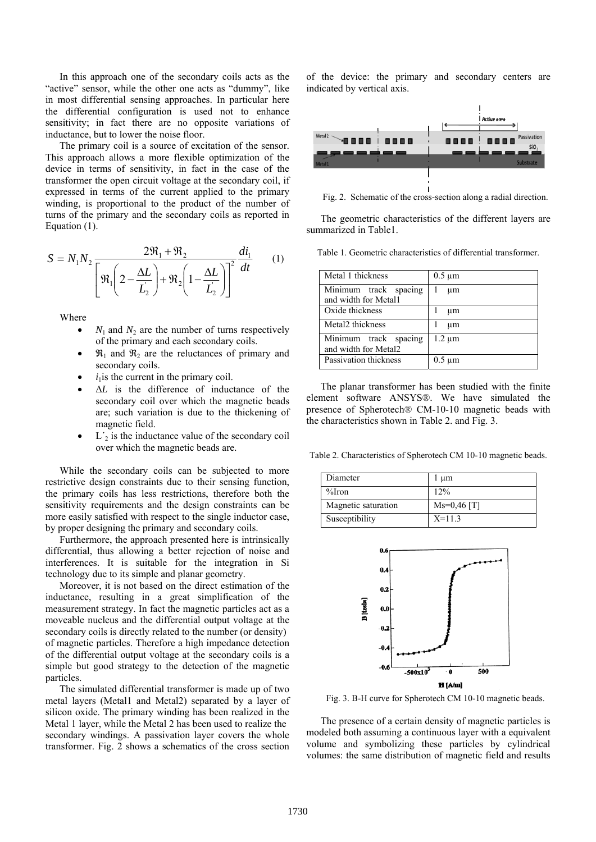In this approach one of the secondary coils acts as the "active" sensor, while the other one acts as "dummy", like in most differential sensing approaches. In particular here the differential configuration is used not to enhance sensitivity; in fact there are no opposite variations of inductance, but to lower the noise floor.

The primary coil is a source of excitation of the sensor. This approach allows a more flexible optimization of the device in terms of sensitivity, in fact in the case of the transformer the open circuit voltage at the secondary coil, if expressed in terms of the current applied to the primary winding, is proportional to the product of the number of turns of the primary and the secondary coils as reported in Equation (1).

$$
S = N_1 N_2 \frac{2\Re_1 + \Re_2}{\left[\Re_1\left(2 - \frac{\Delta L}{L_2}\right) + \Re_2\left(1 - \frac{\Delta L}{L_2}\right)\right]^2} \frac{di_1}{dt} \tag{1}
$$

Where

- $N_1$  and  $N_2$  are the number of turns respectively of the primary and each secondary coils.
- $\mathfrak{R}_1$  and  $\mathfrak{R}_2$  are the reluctances of primary and secondary coils.
- $i_1$  is the current in the primary coil.
- Δ*L* is the difference of inductance of the secondary coil over which the magnetic beads are; such variation is due to the thickening of magnetic field.
- $L'_2$  is the inductance value of the secondary coil over which the magnetic beads are.

While the secondary coils can be subjected to more restrictive design constraints due to their sensing function, the primary coils has less restrictions, therefore both the sensitivity requirements and the design constraints can be more easily satisfied with respect to the single inductor case, by proper designing the primary and secondary coils.

Furthermore, the approach presented here is intrinsically differential, thus allowing a better rejection of noise and interferences. It is suitable for the integration in Si technology due to its simple and planar geometry.

Moreover, it is not based on the direct estimation of the inductance, resulting in a great simplification of the measurement strategy. In fact the magnetic particles act as a moveable nucleus and the differential output voltage at the secondary coils is directly related to the number (or density) of magnetic particles. Therefore a high impedance detection of the differential output voltage at the secondary coils is a simple but good strategy to the detection of the magnetic particles.

The simulated differential transformer is made up of two metal layers (Metal1 and Metal2) separated by a layer of silicon oxide. The primary winding has been realized in the Metal 1 layer, while the Metal 2 has been used to realize the secondary windings. A passivation layer covers the whole transformer. Fig. 2 shows a schematics of the cross section

of the device: the primary and secondary centers are indicated by vertical axis.



Fig. 2. Schematic of the cross-section along a radial direction.

The geometric characteristics of the different layers are summarized in Table1.

| Table 1. Geometric characteristics of differential transformer. |  |  |  |  |  |  |  |
|-----------------------------------------------------------------|--|--|--|--|--|--|--|
|-----------------------------------------------------------------|--|--|--|--|--|--|--|

| Metal 1 thickness                             | $0.5 \mu m$ |
|-----------------------------------------------|-------------|
| Minimum track spacing<br>and width for Metal1 | um          |
| Oxide thickness                               | um          |
| Metal2 thickness                              | иm          |
| Minimum track spacing<br>and width for Metal2 | $1.2 \mu m$ |
| Passivation thickness                         | $0.5 \mu m$ |

The planar transformer has been studied with the finite element software ANSYS®. We have simulated the presence of Spherotech® CM-10-10 magnetic beads with the characteristics shown in Table 2. and Fig. 3.

Table 2. Characteristics of Spherotech CM 10-10 magnetic beads.

| Diameter            | um            |
|---------------------|---------------|
| $\%$ Iron           | 12%           |
| Magnetic saturation | $Ms=0,46$ [T] |
| Susceptibility      | $X=11.3$      |



Fig. 3. B-H curve for Spherotech CM 10-10 magnetic beads.

The presence of a certain density of magnetic particles is modeled both assuming a continuous layer with a equivalent volume and symbolizing these particles by cylindrical volumes: the same distribution of magnetic field and results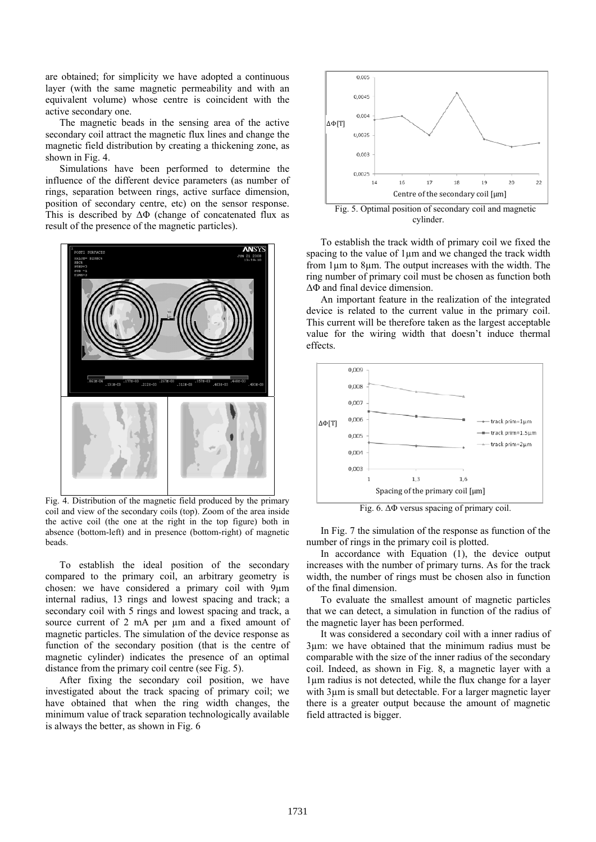are obtained; for simplicity we have adopted a continuous layer (with the same magnetic permeability and with an equivalent volume) whose centre is coincident with the active secondary one.

The magnetic beads in the sensing area of the active secondary coil attract the magnetic flux lines and change the magnetic field distribution by creating a thickening zone, as shown in Fig. 4.

Simulations have been performed to determine the influence of the different device parameters (as number of rings, separation between rings, active surface dimension, position of secondary centre, etc) on the sensor response. This is described by  $\Delta\Phi$  (change of concatenated flux as result of the presence of the magnetic particles).



Fig. 4. Distribution of the magnetic field produced by the primary coil and view of the secondary coils (top). Zoom of the area inside the active coil (the one at the right in the top figure) both in absence (bottom-left) and in presence (bottom-right) of magnetic beads.

To establish the ideal position of the secondary compared to the primary coil, an arbitrary geometry is chosen: we have considered a primary coil with 9µm internal radius, 13 rings and lowest spacing and track; a secondary coil with 5 rings and lowest spacing and track, a source current of 2 mA per  $\mu$ m and a fixed amount of magnetic particles. The simulation of the device response as function of the secondary position (that is the centre of magnetic cylinder) indicates the presence of an optimal distance from the primary coil centre (see Fig. 5).

After fixing the secondary coil position, we have investigated about the track spacing of primary coil; we have obtained that when the ring width changes, the minimum value of track separation technologically available is always the better, as shown in Fig. 6



cylinder.

To establish the track width of primary coil we fixed the spacing to the value of 1µm and we changed the track width from 1µm to 8µm. The output increases with the width. The ring number of primary coil must be chosen as function both ΔΦ and final device dimension.

An important feature in the realization of the integrated device is related to the current value in the primary coil. This current will be therefore taken as the largest acceptable value for the wiring width that doesn't induce thermal effects.



Fig. 6. ΔΦ versus spacing of primary coil.

In Fig. 7 the simulation of the response as function of the number of rings in the primary coil is plotted.

In accordance with Equation (1), the device output increases with the number of primary turns. As for the track width, the number of rings must be chosen also in function of the final dimension.

To evaluate the smallest amount of magnetic particles that we can detect, a simulation in function of the radius of the magnetic layer has been performed.

It was considered a secondary coil with a inner radius of 3µm: we have obtained that the minimum radius must be comparable with the size of the inner radius of the secondary coil. Indeed, as shown in Fig. 8, a magnetic layer with a 1µm radius is not detected, while the flux change for a layer with 3µm is small but detectable. For a larger magnetic layer there is a greater output because the amount of magnetic field attracted is bigger.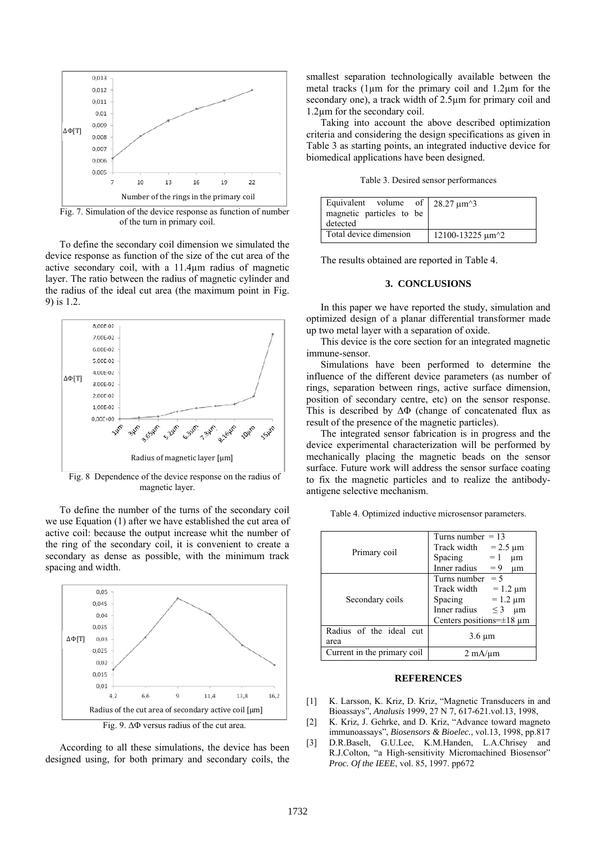

Fig. 7. Simulation of the device response as function of number of the turn in primary coil.

To define the secondary coil dimension we simulated the device response as function of the size of the cut area of the active secondary coil, with a 11.4µm radius of magnetic layer. The ratio between the radius of magnetic cylinder and the radius of the ideal cut area (the maximum point in Fig. 9) is 1.2.



Fig. 8 Dependence of the device response on the radius of magnetic layer.

To define the number of the turns of the secondary coil we use Equation (1) after we have established the cut area of active coil: because the output increase whit the number of the ring of the secondary coil, it is convenient to create a secondary as dense as possible, with the minimum track spacing and width.



According to all these simulations, the device has been designed using, for both primary and secondary coils, the smallest separation technologically available between the metal tracks ( $1\mu$ m for the primary coil and  $1.2\mu$ m for the secondary one), a track width of  $2.5\mu$ m for primary coil and 1.2µm for the secondary coil.

Taking into account the above described optimization criteria and considering the design specifications as given in Table 3 as starting points, an integrated inductive device for biomedical applications have been designed.

Table 3. Desired sensor performances

| Equivalent volume of $28.27 \text{ }\mu\text{m}^3$<br>magnetic particles to be<br>detected |                                    |
|--------------------------------------------------------------------------------------------|------------------------------------|
| Total device dimension                                                                     | 12100-13225 $\mu$ m <sup>2</sup> 2 |

The results obtained are reported in Table 4.

## **3. CONCLUSIONS**

In this paper we have reported the study, simulation and optimized design of a planar differential transformer made up two metal layer with a separation of oxide.

This device is the core section for an integrated magnetic immune-sensor.

Simulations have been performed to determine the influence of the different device parameters (as number of rings, separation between rings, active surface dimension, position of secondary centre, etc) on the sensor response. This is described by  $\Delta\Phi$  (change of concatenated flux as result of the presence of the magnetic particles).

The integrated sensor fabrication is in progress and the device experimental characterization will be performed by mechanically placing the magnetic beads on the sensor surface. Future work will address the sensor surface coating to fix the magnetic particles and to realize the antibodyantigene selective mechanism.

| Table 4. Optimized inductive microsensor parameters. |  |  |  |
|------------------------------------------------------|--|--|--|
|------------------------------------------------------|--|--|--|

|                             | Turns number $= 13$               |  |  |
|-----------------------------|-----------------------------------|--|--|
|                             | Track width<br>$= 2.5 \mu m$      |  |  |
| Primary coil                | $=1$<br>Spacing<br>um             |  |  |
|                             | Inner radius<br>$= 9$<br>um       |  |  |
| Secondary coils             | $= 5$<br>Turns number             |  |  |
|                             | Track width<br>$= 1.2 \mu m$      |  |  |
|                             | $= 1.2 \mu m$<br>Spacing          |  |  |
|                             | Inner radius<br>$\leq$ 3<br>um    |  |  |
|                             | Centers positions= $\pm 18 \mu m$ |  |  |
| Radius of the ideal cut     |                                   |  |  |
| area                        | $3.6 \mu m$                       |  |  |
| Current in the primary coil | $2 \text{ mA}/\mu\text{m}$        |  |  |

### **REFERENCES**

- [1] K. Larsson, K. Kriz, D. Kriz, "Magnetic Transducers in and Bioassays", *Analusis* 1999, 27 N 7, 617-621.vol.13, 1998,
- [2] K. Kriz, J. Gehrke, and D. Kriz, "Advance toward magneto immunoassays", *Biosensors & Bioelec.*, vol.13, 1998, pp.817
- [3] D.R.Baselt, G.U.Lee, K.M.Handen, L.A.Chrisey and R.J.Colton, "a High-sensitivity Micromachined Biosensor" *Proc. Of the IEEE*, vol. 85, 1997. pp672